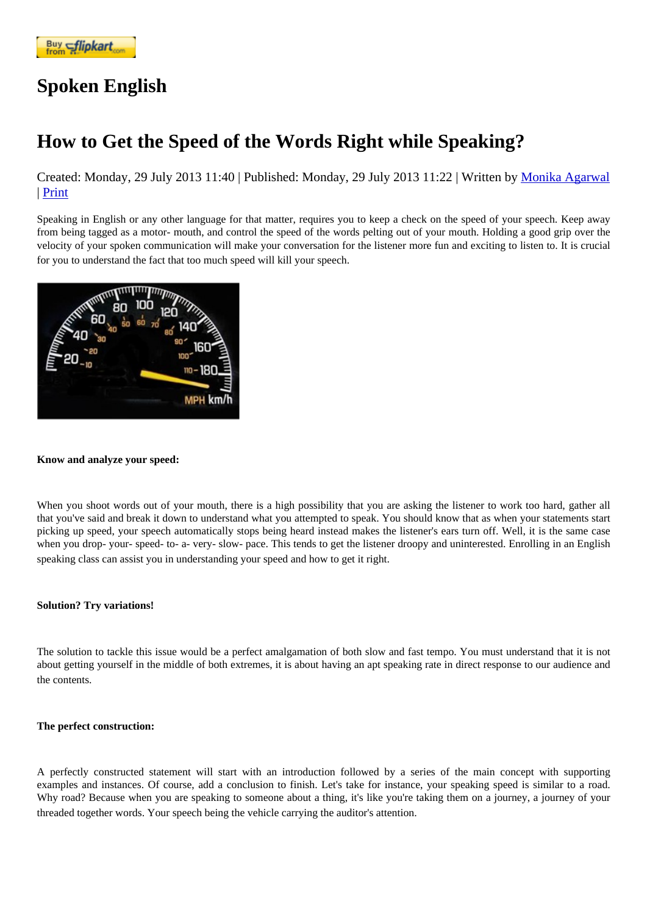## [Spoken Eng](https://www.flipkart.com/spoken-english-3rd/p/itmezunpyjy5xcc7?pid=9789339221461&affid=kaminiraw)lish

## How to Get the Speed of the Words Right while Speaking?

Created: Monday, 29 July 2013 11: **APublished: Monday, 29 July 2013 11:** 22 ritten by Monika Agarwal | Print

Speaking in English or any other language for that matter, requires you to keep a check on the speed of your speech. Keep away from being tagged as a motor- mouth, and control the speed of the words pelting out of your mouth[. Holding a good gr](https://english.eagetutor.com/contact)ip over the velocity of your spoken communication will make your conversation for the listener more fun and exciting to listen to. It is crucial for you to understand the fact that too much speed will kill your speech.

Know and analyze your speed:

When you shoot words out of your mouth, there is a high possibility that you are asking the listener to work too hard, gather all that you've said and break it down to understand what you attempted to speak. You should know that as when your statements sta picking up speed, your speech automatically stops being heard instead makes the listener's ears turn off. Well, it is the same ca when you drop- your- speed- to- a- very- slow- pace. This tends to get the listener droopy and uninterested. Enrolling in an English speaking class can assist you in understanding your speed and how to get it right.

Solution? Try variations!

The solution to tackle this issue would be a perfect amalgamation of both slow and fast tempo. You must understand that it is no about getting yourself in the middle of both extremes, it is about having an apt speaking rate in direct response to our audience an the contents.

The perfect construction:

A perfectly constructed statement will start with an introduction followed by a series of the main concept with supporting examples and instances. Of course, add a conclusion to finish. Let's take for instance, your speaking speed is similar to a road. Why road? Because when you are speaking to someone about a thing, it's like you're taking them on a journey, a journey of your threaded together words. Your speech being the vehicle carrying the auditor's attention.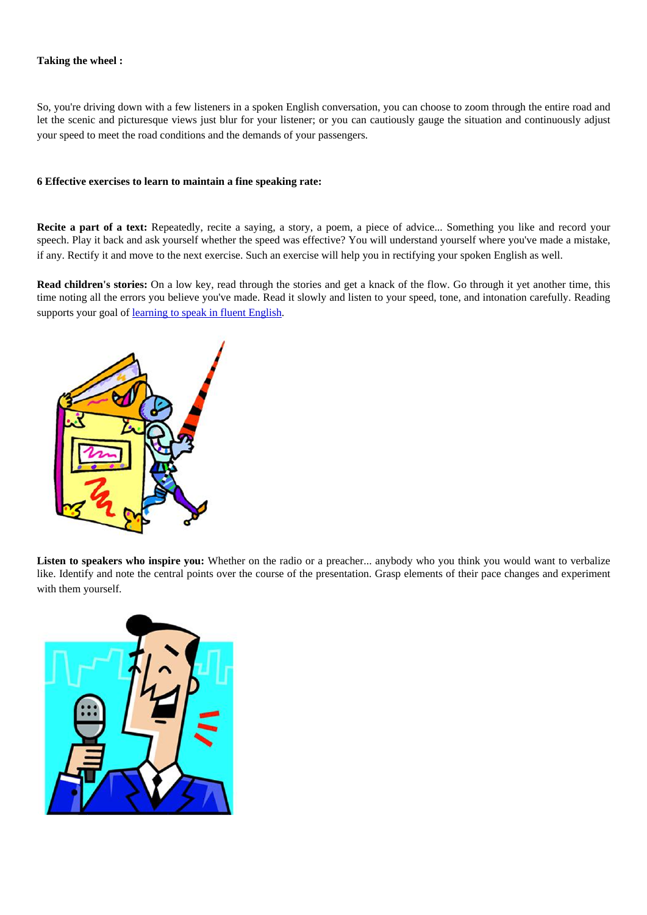Taking the wheel :

So, you're driving down with a few listeners in a spoken English conversation, you can choose to zoom through the entire road and let the scenic and picturesque views just blur for your listener; or you can cautiously gauge the situation and continuously adjust your speed to meet the road conditions and the demands of your passengers.

6 Effective exercises to learn to maintain a fine speaking rate:

Recite a part of a text: Repeatedly, recite a saying, a story, a poem, a piece of advice... Something you like and record your speech. Play it back and ask yourself whether the speed was effective? You will understand yourself where you've made a mistak if any. Rectify it and move to the next exercise. Such an exercise will help you in rectifying your spoken English as well.

Read children's stories: On a low key, read through the stories and get a knack of the flow. Go through it yet another time, this time noting all the errors you believe you've made. Read it slowly and listen to your speed, tone, and intonation carefully. Reading supports your goal dearning to speak in fluent English.

Listen to speakers who inspire you: Whether on the radio or a preacher... anybody who you think you would want to verbalize like. Identify and note the central points over the course of the presentation. Grasp elements of their pace changes and experime with them yourself.